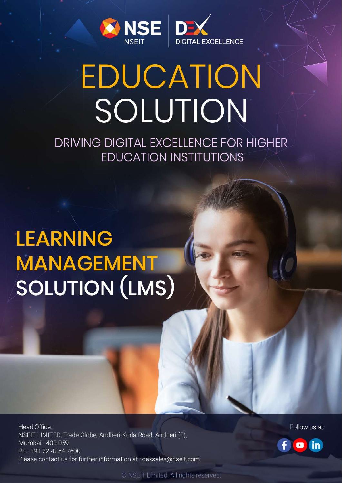

# **EDUCATION** SOLUTION

DRIVING DIGITAL EXCELLENCE FOR HIGHER **EDUCATION INSTITUTIONS** 

# **LEARNING MANAGEMENT SOLUTION (LMS)**

Head Office: NSEIT LIMITED, Trade Globe, Andheri-Kurla Road, Andheri (E), Mumbai - 400 059 Ph.: +91 22 4254 7600 Please contact us for further information at: dexsales@nseit.com Follow us at



© NSEIT Limited. All rights reserved.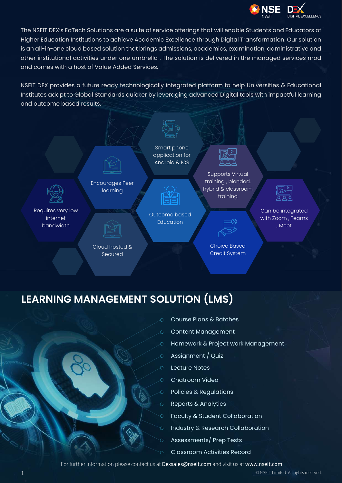

The NSEIT DEX's EdTech Solutions are a suite of service offerings that will enable Students and Educators of Higher Education Institutions to achieve Academic Excellence through Digital Transformation. Our solution is an all-in-one cloud based solution that brings admissions, academics, examination, administrative and other institutional activities under one umbrella . The solution is delivered in the managed services mod and comes with a host of Value Added Services.

NSEIT DEX provides a future ready technologically integrated platform to help Universities & Educational Institutes adapt to Global Standards quicker by leveraging advanced Digital tools with impactful learning and outcome based results.



# **LEARNING MANAGEMENT SOLUTION (LMS)**



- Course Plans & Batches
- Content Management
- Homework & Project work Management
- Assignment / Quiz
- Lecture Notes
- Chatroom Video  $\overline{O}$ 
	- Policies & Regulations
	- Reports & Analytics
	- Faculty & Student Collaboration
	- Industry & Research Collaboration
	- Assessments/ Prep Tests
	- Classroom Activities Record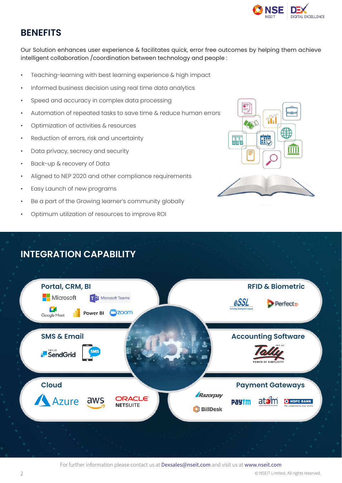

#### **BENEFITS**

Our Solution enhances user experience & facilitates quick, error free outcomes by helping them achieve intelligent collaboration /coordination between technology and people :

- Teaching-learning with best learning experience & high impact
- Informed business decision using real time data analytics
- Speed and accuracy in complex data processing
- Automation of repeated tasks to save time & reduce human errors
- Optimization of activities & resources
- Reduction of errors, risk and uncertainty
- Data privacy, secrecy and security
- Back-up & recovery of Data
- Aligned to NEP 2020 and other compliance requirements
- Easy Launch of new programs
- Be a part of the Growing learner's community globally
- Optimum utilization of resources to improve ROI





## **INTEGRATION CAPABILITY**

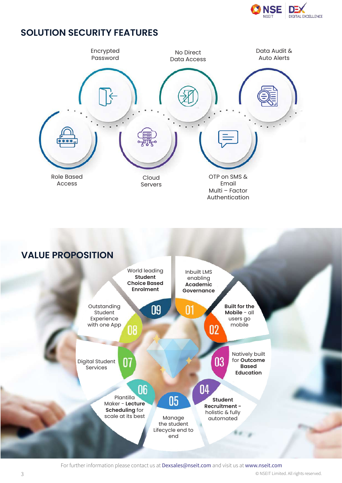

#### **SOLUTION SECURITY FEATURES**



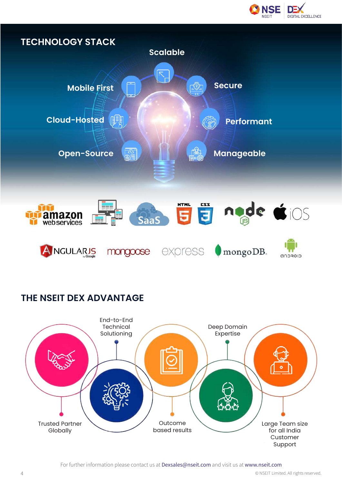



## **THE NSEIT DEX ADVANTAGE**